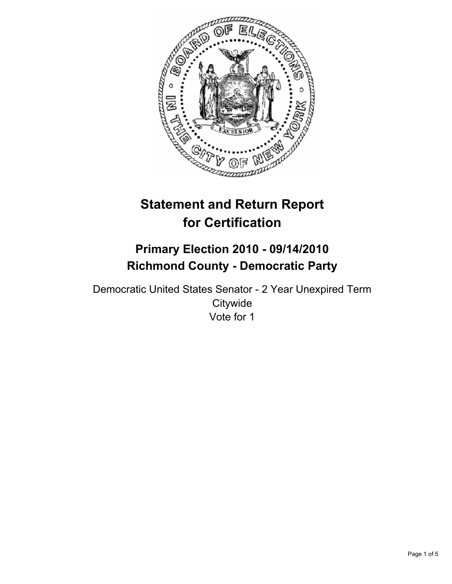

# **Statement and Return Report for Certification**

## **Primary Election 2010 - 09/14/2010 Richmond County - Democratic Party**

Democratic United States Senator - 2 Year Unexpired Term **Citywide** Vote for 1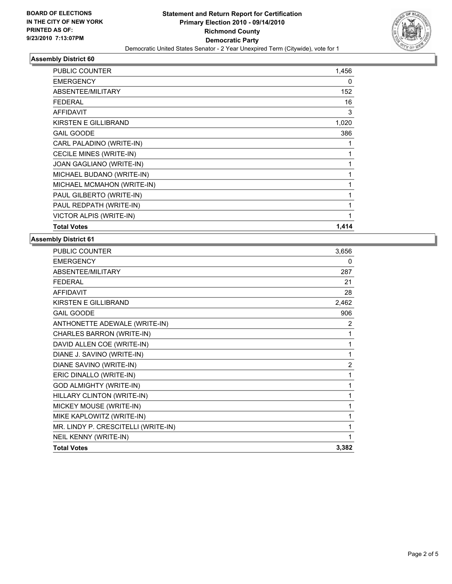

### **Assembly District 60**

| PUBLIC COUNTER             | 1,456        |
|----------------------------|--------------|
| <b>EMERGENCY</b>           | 0            |
| ABSENTEE/MILITARY          | 152          |
| <b>FEDERAL</b>             | 16           |
| <b>AFFIDAVIT</b>           | 3            |
| KIRSTEN E GILLIBRAND       | 1,020        |
| <b>GAIL GOODE</b>          | 386          |
| CARL PALADINO (WRITE-IN)   | 1            |
| CECILE MINES (WRITE-IN)    | 1            |
| JOAN GAGLIANO (WRITE-IN)   | 1            |
| MICHAEL BUDANO (WRITE-IN)  | 1            |
| MICHAEL MCMAHON (WRITE-IN) | $\mathbf{1}$ |
| PAUL GILBERTO (WRITE-IN)   | 1            |
| PAUL REDPATH (WRITE-IN)    | 1            |
| VICTOR ALPIS (WRITE-IN)    | 1            |
| <b>Total Votes</b>         | 1,414        |

#### **Assembly District 61**

| <b>PUBLIC COUNTER</b>               | 3,656 |
|-------------------------------------|-------|
| <b>EMERGENCY</b>                    | 0     |
| ABSENTEE/MILITARY                   | 287   |
| FFDFRAI                             | 21    |
| <b>AFFIDAVIT</b>                    | 28    |
| KIRSTEN E GILLIBRAND                | 2,462 |
| <b>GAIL GOODE</b>                   | 906   |
| ANTHONETTE ADEWALE (WRITE-IN)       | 2     |
| CHARLES BARRON (WRITE-IN)           | 1     |
| DAVID ALLEN COE (WRITE-IN)          | 1     |
| DIANE J. SAVINO (WRITE-IN)          | 1     |
| DIANE SAVINO (WRITE-IN)             | 2     |
| ERIC DINALLO (WRITE-IN)             | 1     |
| <b>GOD ALMIGHTY (WRITE-IN)</b>      | 1     |
| HILLARY CLINTON (WRITE-IN)          | 1     |
| MICKEY MOUSE (WRITE-IN)             | 1     |
| MIKE KAPLOWITZ (WRITE-IN)           | 1     |
| MR. LINDY P. CRESCITELLI (WRITE-IN) | 1     |
| NEIL KENNY (WRITE-IN)               | 1     |
| <b>Total Votes</b>                  | 3,382 |
|                                     |       |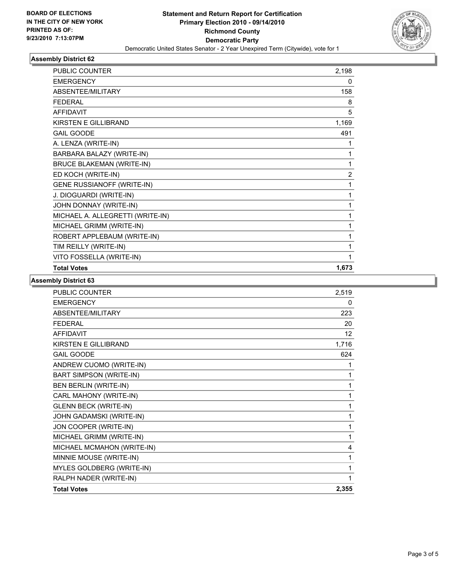

#### **Assembly District 62**

| <b>PUBLIC COUNTER</b>             | 2,198          |
|-----------------------------------|----------------|
| <b>EMERGENCY</b>                  | 0              |
| <b>ABSENTEE/MILITARY</b>          | 158            |
| <b>FFDFRAL</b>                    | 8              |
| <b>AFFIDAVIT</b>                  | 5              |
| <b>KIRSTEN E GILLIBRAND</b>       | 1,169          |
| <b>GAIL GOODE</b>                 | 491            |
| A. LENZA (WRITE-IN)               |                |
| BARBARA BALAZY (WRITE-IN)         | 1              |
| <b>BRUCE BLAKEMAN (WRITE-IN)</b>  | 1              |
| ED KOCH (WRITE-IN)                | $\overline{2}$ |
| <b>GENE RUSSIANOFF (WRITE-IN)</b> | 1              |
| J. DIOGUARDI (WRITE-IN)           | 1              |
| JOHN DONNAY (WRITE-IN)            | 1              |
| MICHAEL A. ALLEGRETTI (WRITE-IN)  | 1              |
| MICHAEL GRIMM (WRITE-IN)          | 1              |
| ROBERT APPLEBAUM (WRITE-IN)       | 1              |
| TIM REILLY (WRITE-IN)             | 1              |
| VITO FOSSELLA (WRITE-IN)          |                |
| <b>Total Votes</b>                | 1,673          |

#### **Assembly District 63**

| <b>PUBLIC COUNTER</b>          | 2,519 |
|--------------------------------|-------|
| <b>EMERGENCY</b>               | 0     |
| ABSENTEE/MILITARY              | 223   |
| <b>FFDFRAL</b>                 | 20    |
| <b>AFFIDAVIT</b>               | 12    |
| <b>KIRSTEN E GILLIBRAND</b>    | 1,716 |
| <b>GAIL GOODE</b>              | 624   |
| ANDREW CUOMO (WRITE-IN)        |       |
| <b>BART SIMPSON (WRITE-IN)</b> | 1     |
| <b>BEN BERLIN (WRITE-IN)</b>   | 1     |
| CARL MAHONY (WRITE-IN)         | 1     |
| <b>GLENN BECK (WRITE-IN)</b>   | 1     |
| JOHN GADAMSKI (WRITE-IN)       | 1     |
| JON COOPER (WRITE-IN)          | 1     |
| MICHAEL GRIMM (WRITE-IN)       | 1     |
| MICHAEL MCMAHON (WRITE-IN)     | 4     |
| MINNIE MOUSE (WRITE-IN)        | 1     |
| MYLES GOLDBERG (WRITE-IN)      | 1     |
| RALPH NADER (WRITE-IN)         | 1     |
| <b>Total Votes</b>             | 2,355 |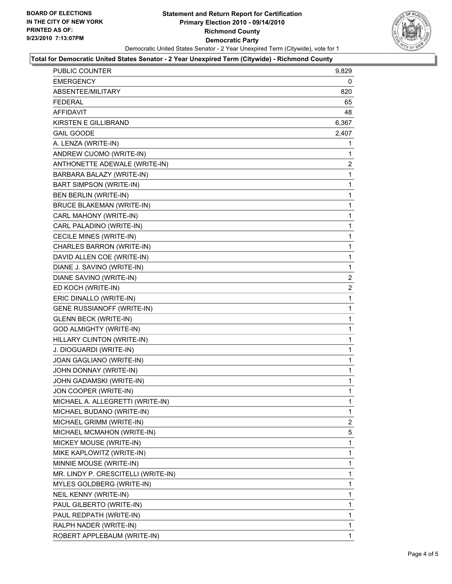

#### **Total for Democratic United States Senator - 2 Year Unexpired Term (Citywide) - Richmond County**

| <b>PUBLIC COUNTER</b>               | 9,829          |
|-------------------------------------|----------------|
| EMERGENCY                           | 0              |
| ABSENTEE/MILITARY                   | 820            |
| <b>FEDERAL</b>                      | 65             |
| <b>AFFIDAVIT</b>                    | 48             |
| <b>KIRSTEN E GILLIBRAND</b>         | 6,367          |
| <b>GAIL GOODE</b>                   | 2,407          |
| A. LENZA (WRITE-IN)                 | 1              |
| ANDREW CUOMO (WRITE-IN)             | 1              |
| ANTHONETTE ADEWALE (WRITE-IN)       | $\overline{c}$ |
| BARBARA BALAZY (WRITE-IN)           | 1              |
| BART SIMPSON (WRITE-IN)             | 1              |
| BEN BERLIN (WRITE-IN)               | 1              |
| <b>BRUCE BLAKEMAN (WRITE-IN)</b>    | 1              |
| CARL MAHONY (WRITE-IN)              | 1              |
| CARL PALADINO (WRITE-IN)            | 1              |
| CECILE MINES (WRITE-IN)             | 1              |
| CHARLES BARRON (WRITE-IN)           | 1              |
| DAVID ALLEN COE (WRITE-IN)          | 1              |
| DIANE J. SAVINO (WRITE-IN)          | 1              |
| DIANE SAVINO (WRITE-IN)             | $\overline{2}$ |
| ED KOCH (WRITE-IN)                  | $\overline{c}$ |
| ERIC DINALLO (WRITE-IN)             | 1              |
| GENE RUSSIANOFF (WRITE-IN)          | 1              |
| <b>GLENN BECK (WRITE-IN)</b>        | 1              |
| <b>GOD ALMIGHTY (WRITE-IN)</b>      | 1              |
| HILLARY CLINTON (WRITE-IN)          | 1              |
| J. DIOGUARDI (WRITE-IN)             | 1              |
| JOAN GAGLIANO (WRITE-IN)            | 1              |
| JOHN DONNAY (WRITE-IN)              | 1              |
| JOHN GADAMSKI (WRITE-IN)            | 1              |
| JON COOPER (WRITE-IN)               | 1              |
| MICHAEL A. ALLEGRETTI (WRITE-IN)    | 1              |
| MICHAEL BUDANO (WRITE-IN)           | 1              |
| MICHAEL GRIMM (WRITE-IN)            | 2              |
| MICHAEL MCMAHON (WRITE-IN)          | 5              |
| MICKEY MOUSE (WRITE-IN)             | 1              |
| MIKE KAPLOWITZ (WRITE-IN)           | 1              |
| MINNIE MOUSE (WRITE-IN)             | 1              |
| MR. LINDY P. CRESCITELLI (WRITE-IN) | 1              |
| MYLES GOLDBERG (WRITE-IN)           | 1              |
| NEIL KENNY (WRITE-IN)               | 1              |
| PAUL GILBERTO (WRITE-IN)            | 1              |
| PAUL REDPATH (WRITE-IN)             | 1              |
| RALPH NADER (WRITE-IN)              | 1              |
| ROBERT APPLEBAUM (WRITE-IN)         | 1              |